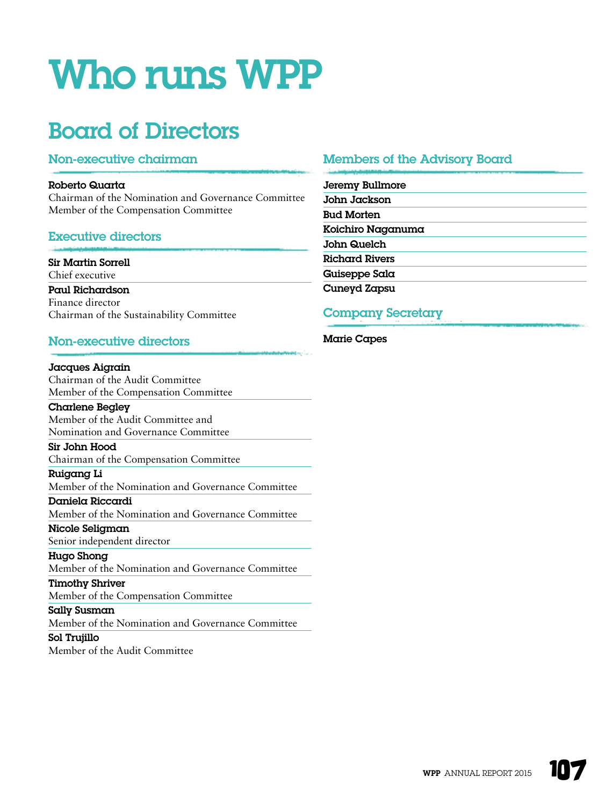# Who runs WPP

## Board of Directors

## Non-executive chairman

## Roberto Quarta

Chairman of the Nomination and Governance Committee Member of the Compensation Committee

## Executive directors

## Sir Martin Sorrell

Chief executive

## Paul Richardson

Finance director Chairman of the Sustainability Committee

## Non-executive directors

### Jacques Aigrain

Chairman of the Audit Committee Member of the Compensation Committee

Charlene Begley Member of the Audit Committee and Nomination and Governance Committee

### Sir John Hood

Chairman of the Compensation Committee

## Ruigang Li

Member of the Nomination and Governance Committee

## Daniela Riccardi

Member of the Nomination and Governance Committee

## Nicole Seligman

Senior independent director

## Hugo Shong

Member of the Nomination and Governance Committee

## Timothy Shriver

Member of the Compensation Committee

## Sally Susman

Member of the Nomination and Governance Committee

## Sol Trujillo

Member of the Audit Committee

## Members of the Advisory Board

| Jeremy Bullmore       |  |
|-----------------------|--|
| John Jackson          |  |
| Bud Morten            |  |
| Koichiro Naqanuma     |  |
| John Quelch           |  |
| <b>Richard Rivers</b> |  |
| Guiseppe Sala         |  |
| Cuneyd Zapsu          |  |
|                       |  |

## Company Secretary

## Marie Capes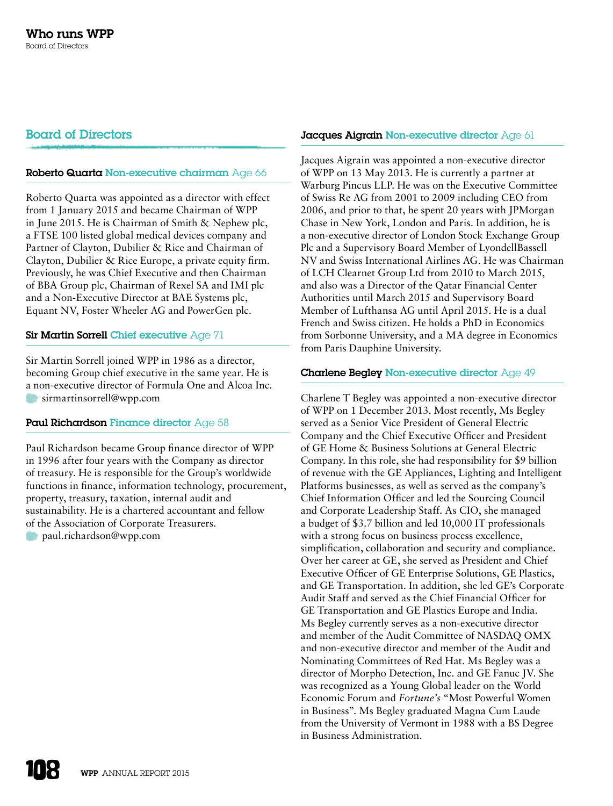## Board of Directors

## Roberto Quarta Non-executive chairman Age 66

Roberto Quarta was appointed as a director with effect from 1 January 2015 and became Chairman of WPP in June 2015. He is Chairman of Smith & Nephew plc, a FTSE 100 listed global medical devices company and Partner of Clayton, Dubilier & Rice and Chairman of Clayton, Dubilier & Rice Europe, a private equity firm. Previously, he was Chief Executive and then Chairman of BBA Group plc, Chairman of Rexel SA and IMI plc and a Non-Executive Director at BAE Systems plc, Equant NV, Foster Wheeler AG and PowerGen plc.

### Sir Martin Sorrell Chief executive Age 71

Sir Martin Sorrell joined WPP in 1986 as a director, becoming Group chief executive in the same year. He is a non-executive director of Formula One and Alcoa Inc. [sirmartinsorrell@wpp.com](mailto:sirmartinsorrell%40wpp.com?subject=)

### Paul Richardson Finance director Age 58

Paul Richardson became Group finance director of WPP in 1996 after four years with the Company as director of treasury. He is responsible for the Group's worldwide functions in finance, information technology, procurement, property, treasury, taxation, internal audit and sustainability. He is a chartered accountant and fellow of the Association of Corporate Treasurers.

[paul.richardson@wpp.com](mailto:paul.richardson%40wpp.com?subject=)

#### Jacques Aigrain Non-executive director Age 61

Jacques Aigrain was appointed a non-executive director of WPP on 13 May 2013. He is currently a partner at Warburg Pincus LLP. He was on the Executive Committee of Swiss Re AG from 2001 to 2009 including CEO from 2006, and prior to that, he spent 20 years with JPMorgan Chase in New York, London and Paris. In addition, he is a non-executive director of London Stock Exchange Group Plc and a Supervisory Board Member of LyondellBassell NV and Swiss International Airlines AG. He was Chairman of LCH Clearnet Group Ltd from 2010 to March 2015, and also was a Director of the Qatar Financial Center Authorities until March 2015 and Supervisory Board Member of Lufthansa AG until April 2015. He is a dual French and Swiss citizen. He holds a PhD in Economics from Sorbonne University, and a MA degree in Economics from Paris Dauphine University.

### Charlene Begley Non-executive director Age 49

Charlene T Begley was appointed a non-executive director of WPP on 1 December 2013. Most recently, Ms Begley served as a Senior Vice President of General Electric Company and the Chief Executive Officer and President of GE Home & Business Solutions at General Electric Company. In this role, she had responsibility for \$9 billion of revenue with the GE Appliances, Lighting and Intelligent Platforms businesses, as well as served as the company's Chief Information Officer and led the Sourcing Council and Corporate Leadership Staff. As CIO, she managed a budget of \$3.7 billion and led 10,000 IT professionals with a strong focus on business process excellence, simplification, collaboration and security and compliance. Over her career at GE, she served as President and Chief Executive Officer of GE Enterprise Solutions, GE Plastics, and GE Transportation. In addition, she led GE's Corporate Audit Staff and served as the Chief Financial Officer for GE Transportation and GE Plastics Europe and India. Ms Begley currently serves as a non-executive director and member of the Audit Committee of NASDAQ OMX and non-executive director and member of the Audit and Nominating Committees of Red Hat. Ms Begley was a director of Morpho Detection, Inc. and GE Fanuc JV. She was recognized as a Young Global leader on the World Economic Forum and *Fortune's* "Most Powerful Women in Business". Ms Begley graduated Magna Cum Laude from the University of Vermont in 1988 with a BS Degree in Business Administration.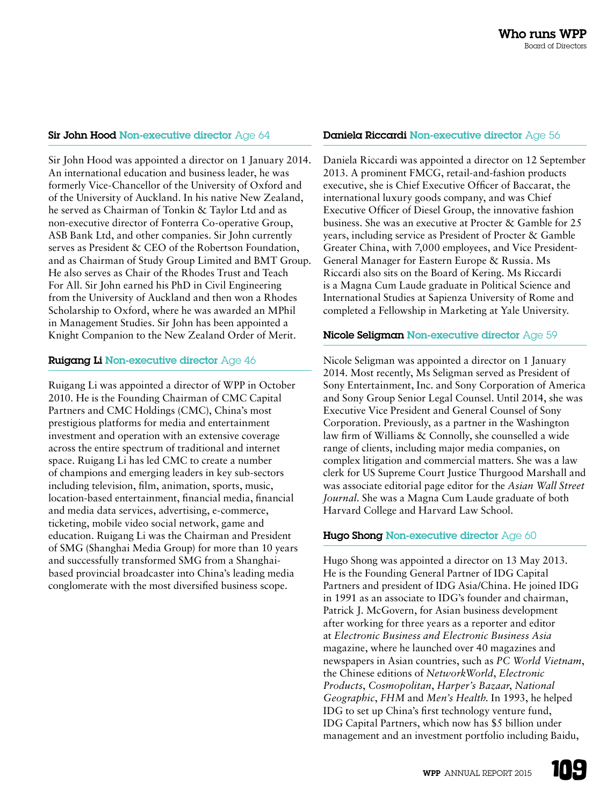#### Sir John Hood Non-executive director Age 64

Sir John Hood was appointed a director on 1 January 2014. An international education and business leader, he was formerly Vice-Chancellor of the University of Oxford and of the University of Auckland. In his native New Zealand, he served as Chairman of Tonkin & Taylor Ltd and as non-executive director of Fonterra Co-operative Group, ASB Bank Ltd, and other companies. Sir John currently serves as President & CEO of the Robertson Foundation, and as Chairman of Study Group Limited and BMT Group. He also serves as Chair of the Rhodes Trust and Teach For All. Sir John earned his PhD in Civil Engineering from the University of Auckland and then won a Rhodes Scholarship to Oxford, where he was awarded an MPhil in Management Studies. Sir John has been appointed a Knight Companion to the New Zealand Order of Merit.

### Ruigang Li Non-executive director Age 46

Ruigang Li was appointed a director of WPP in October 2010. He is the Founding Chairman of CMC Capital Partners and CMC Holdings (CMC), China's most prestigious platforms for media and entertainment investment and operation with an extensive coverage across the entire spectrum of traditional and internet space. Ruigang Li has led CMC to create a number of champions and emerging leaders in key sub-sectors including television, film, animation, sports, music, location-based entertainment, financial media, financial and media data services, advertising, e-commerce, ticketing, mobile video social network, game and education. Ruigang Li was the Chairman and President of SMG (Shanghai Media Group) for more than 10 years and successfully transformed SMG from a Shanghaibased provincial broadcaster into China's leading media conglomerate with the most diversified business scope.

#### Daniela Riccardi Non-executive director Age 56

Daniela Riccardi was appointed a director on 12 September 2013. A prominent FMCG, retail-and-fashion products executive, she is Chief Executive Officer of Baccarat, the international luxury goods company, and was Chief Executive Officer of Diesel Group, the innovative fashion business. She was an executive at Procter & Gamble for 25 years, including service as President of Procter & Gamble Greater China, with 7,000 employees, and Vice President-General Manager for Eastern Europe & Russia. Ms Riccardi also sits on the Board of Kering. Ms Riccardi is a Magna Cum Laude graduate in Political Science and International Studies at Sapienza University of Rome and completed a Fellowship in Marketing at Yale University.

#### Nicole Seligman Non-executive director Age 59

Nicole Seligman was appointed a director on 1 January 2014. Most recently, Ms Seligman served as President of Sony Entertainment, Inc. and Sony Corporation of America and Sony Group Senior Legal Counsel. Until 2014, she was Executive Vice President and General Counsel of Sony Corporation. Previously, as a partner in the Washington law firm of Williams & Connolly, she counselled a wide range of clients, including major media companies, on complex litigation and commercial matters. She was a law clerk for US Supreme Court Justice Thurgood Marshall and was associate editorial page editor for the *Asian Wall Street Journal*. She was a Magna Cum Laude graduate of both Harvard College and Harvard Law School.

#### Hugo Shong Non-executive director Age 60

Hugo Shong was appointed a director on 13 May 2013. He is the Founding General Partner of IDG Capital Partners and president of IDG Asia/China. He joined IDG in 1991 as an associate to IDG's founder and chairman, Patrick J. McGovern, for Asian business development after working for three years as a reporter and editor at *Electronic Business and Electronic Business Asia* magazine, where he launched over 40 magazines and newspapers in Asian countries, such as *PC World Vietnam*, the Chinese editions of *NetworkWorld*, *Electronic Products*, *Cosmopolitan*, *Harper's Bazaar*, *National Geographic*, *FHM* and *Men's Health*. In 1993, he helped IDG to set up China's first technology venture fund, IDG Capital Partners, which now has \$5 billion under management and an investment portfolio including Baidu,

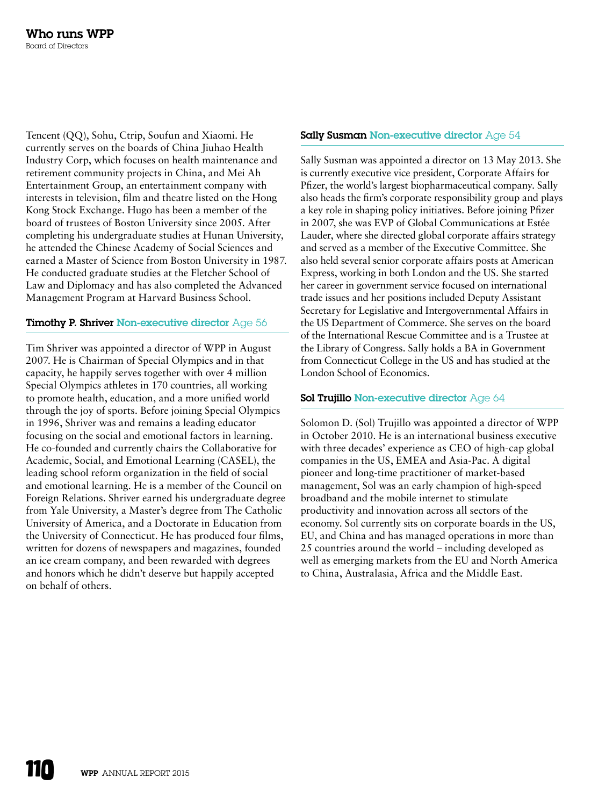Tencent (QQ), Sohu, Ctrip, Soufun and Xiaomi. He currently serves on the boards of China Jiuhao Health Industry Corp, which focuses on health maintenance and retirement community projects in China, and Mei Ah Entertainment Group, an entertainment company with interests in television, film and theatre listed on the Hong Kong Stock Exchange. Hugo has been a member of the board of trustees of Boston University since 2005. After completing his undergraduate studies at Hunan University, he attended the Chinese Academy of Social Sciences and earned a Master of Science from Boston University in 1987. He conducted graduate studies at the Fletcher School of Law and Diplomacy and has also completed the Advanced Management Program at Harvard Business School.

## Timothy P. Shriver Non-executive director Age 56

Tim Shriver was appointed a director of WPP in August 2007. He is Chairman of Special Olympics and in that capacity, he happily serves together with over 4 million Special Olympics athletes in 170 countries, all working to promote health, education, and a more unified world through the joy of sports. Before joining Special Olympics in 1996, Shriver was and remains a leading educator focusing on the social and emotional factors in learning. He co-founded and currently chairs the Collaborative for Academic, Social, and Emotional Learning (CASEL), the leading school reform organization in the field of social and emotional learning. He is a member of the Council on Foreign Relations. Shriver earned his undergraduate degree from Yale University, a Master's degree from The Catholic University of America, and a Doctorate in Education from the University of Connecticut. He has produced four films, written for dozens of newspapers and magazines, founded an ice cream company, and been rewarded with degrees and honors which he didn't deserve but happily accepted on behalf of others.

#### Sally Susman Non-executive director Age 54

Sally Susman was appointed a director on 13 May 2013. She is currently executive vice president, Corporate Affairs for Pfizer, the world's largest biopharmaceutical company. Sally also heads the firm's corporate responsibility group and plays a key role in shaping policy initiatives. Before joining Pfizer in 2007, she was EVP of Global Communications at Estée Lauder, where she directed global corporate affairs strategy and served as a member of the Executive Committee. She also held several senior corporate affairs posts at American Express, working in both London and the US. She started her career in government service focused on international trade issues and her positions included Deputy Assistant Secretary for Legislative and Intergovernmental Affairs in the US Department of Commerce. She serves on the board of the International Rescue Committee and is a Trustee at the Library of Congress. Sally holds a BA in Government from Connecticut College in the US and has studied at the London School of Economics.

### Sol Trujillo Non-executive director Age 64

Solomon D. (Sol) Trujillo was appointed a director of WPP in October 2010. He is an international business executive with three decades' experience as CEO of high-cap global companies in the US, EMEA and Asia-Pac. A digital pioneer and long-time practitioner of market-based management, Sol was an early champion of high-speed broadband and the mobile internet to stimulate productivity and innovation across all sectors of the economy. Sol currently sits on corporate boards in the US, EU, and China and has managed operations in more than 25 countries around the world – including developed as well as emerging markets from the EU and North America to China, Australasia, Africa and the Middle East.